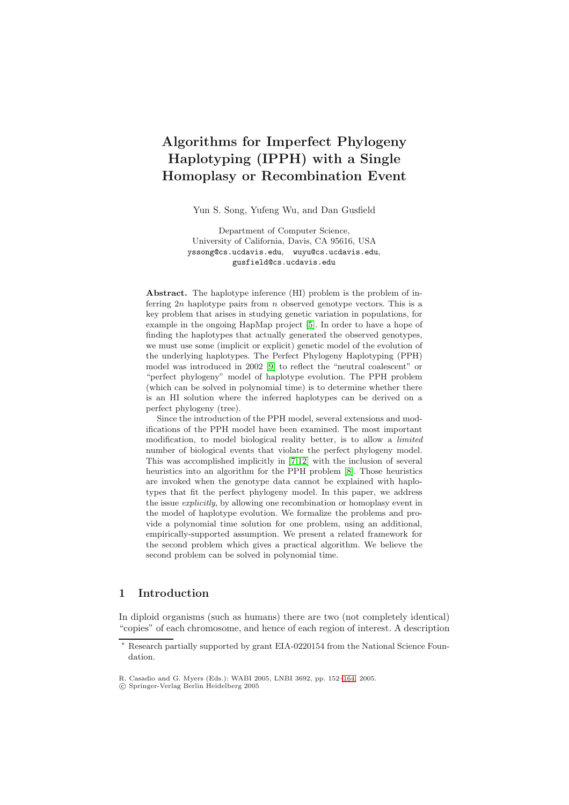# **Algorithms for Imperfect Phylogeny Haplotyping (IPPH) with a Single Homoplasy or Recombination Event**

Yun S. Song, Yufeng Wu, and Dan Gusfield

Department of Computer Science, University of California, Davis, CA 95616, USA yssong@cs.ucdavis.edu, wuyu@cs.ucdavis.edu, gusfield@cs.ucdavis.edu

**Abstract.** The haplotype inference (HI) problem is the problem of inferring  $2n$  haplotype pairs from n observed genotype vectors. This is a key problem that arises in studying genetic variation in populations, for example in the ongoing HapMap project [\[5\]](#page-12-0). In order to have a hope of finding the haplotypes that actually generated the observed genotypes, we must use some (implicit or explicit) genetic model of the evolution of the underlying haplotypes. The Perfect Phylogeny Haplotyping (PPH) model was introduced in 2002 [\[9\]](#page-12-1) to reflect the "neutral coalescent" or "perfect phylogeny" model of haplotype evolution. The PPH problem (which can be solved in polynomial time) is to determine whether there is an HI solution where the inferred haplotypes can be derived on a perfect phylogeny (tree).

Since the introduction of the PPH model, several extensions and modifications of the PPH model have been examined. The most important modification, to model biological reality better, is to allow a limited number of biological events that violate the perfect phylogeny model. This was accomplished implicitly in [\[7,](#page-12-2)[12\]](#page-12-3) with the inclusion of several heuristics into an algorithm for the PPH problem [\[8\]](#page-12-4). Those heuristics are invoked when the genotype data cannot be explained with haplotypes that fit the perfect phylogeny model. In this paper, we address the issue explicitly, by allowing one recombination or homoplasy event in the model of haplotype evolution. We formalize the problems and provide a polynomial time solution for one problem, using an additional, empirically-supported assumption. We present a related framework for the second problem which gives a practical algorithm. We believe the second problem can be solved in polynomial time.

# **1 Introduction**

In diploid organisms (such as humans) there are two (not completely identical) "copies" of each chromosome, and hence of each region of interest. A description

Research partially supported by grant EIA-0220154 from the National Science Foundation.

R. Casadio and G. Myers (Eds.): WABI 2005, LNBI 3692, pp. 152[–164,](#page-12-5) 2005.

c Springer-Verlag Berlin Heidelberg 2005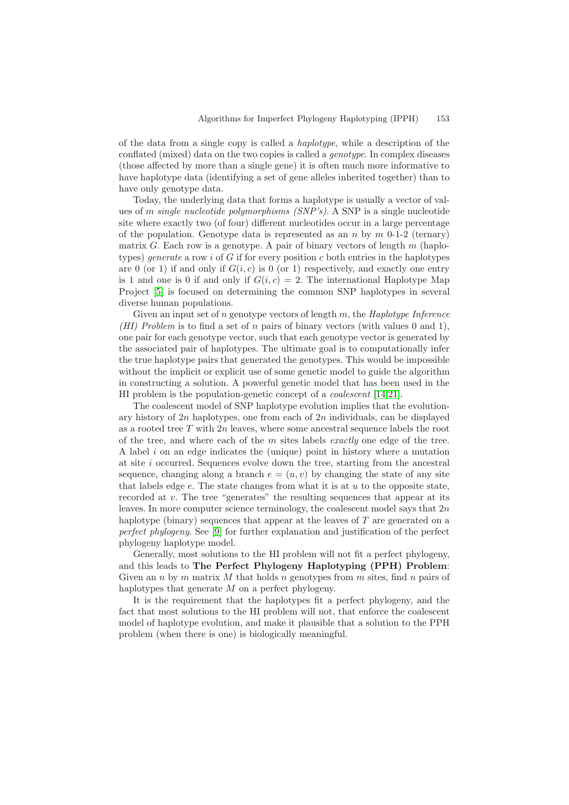of the data from a single copy is called a haplotype, while a description of the conflated (mixed) data on the two copies is called a genotype. In complex diseases (those affected by more than a single gene) it is often much more informative to have haplotype data (identifying a set of gene alleles inherited together) than to have only genotype data.

Today, the underlying data that forms a haplotype is usually a vector of values of m single nucleotide polymorphisms  $(SNP's)$ . A SNP is a single nucleotide site where exactly two (of four) different nucleotides occur in a large percentage of the population. Genotype data is represented as an  $n$  by  $m$  0-1-2 (ternary) matrix  $G$ . Each row is a genotype. A pair of binary vectors of length  $m$  (haplotypes) generate a row i of G if for every position c both entries in the haplotypes are 0 (or 1) if and only if  $G(i, c)$  is 0 (or 1) respectively, and exactly one entry is 1 and one is 0 if and only if  $G(i, c) = 2$ . The international Haplotype Map Project [\[5\]](#page-12-0) is focused on determining the common SNP haplotypes in several diverse human populations.

Given an input set of n genotype vectors of length  $m$ , the Haplotype Inference (HI) Problem is to find a set of n pairs of binary vectors (with values 0 and 1), one pair for each genotype vector, such that each genotype vector is generated by the associated pair of haplotypes. The ultimate goal is to computationally infer the true haplotype pairs that generated the genotypes. This would be impossible without the implicit or explicit use of some genetic model to guide the algorithm in constructing a solution. A powerful genetic model that has been used in the HI problem is the population-genetic concept of a coalescent [\[14](#page-12-6)[,21\]](#page-12-7).

The coalescent model of SNP haplotype evolution implies that the evolutionary history of  $2n$  haplotypes, one from each of  $2n$  individuals, can be displayed as a rooted tree  $T$  with  $2n$  leaves, where some ancestral sequence labels the root of the tree, and where each of the  $m$  sites labels *exactly* one edge of the tree. A label  $i$  on an edge indicates the (unique) point in history where a mutation at site i occurred. Sequences evolve down the tree, starting from the ancestral sequence, changing along a branch  $e = (u, v)$  by changing the state of any site that labels edge  $e$ . The state changes from what it is at  $u$  to the opposite state, recorded at v. The tree "generates" the resulting sequences that appear at its leaves. In more computer science terminology, the coalescent model says that  $2n$ haplotype (binary) sequences that appear at the leaves of  $T$  are generated on a perfect phylogeny. See [\[9\]](#page-12-1) for further explanation and justification of the perfect phylogeny haplotype model.

Generally, most solutions to the HI problem will not fit a perfect phylogeny, and this leads to **The Perfect Phylogeny Haplotyping (PPH) Problem**: Given an n by m matrix M that holds n genotypes from m sites, find n pairs of haplotypes that generate M on a perfect phylogeny.

It is the requirement that the haplotypes fit a perfect phylogeny, and the fact that most solutions to the HI problem will not, that enforce the coalescent model of haplotype evolution, and make it plausible that a solution to the PPH problem (when there is one) is biologically meaningful.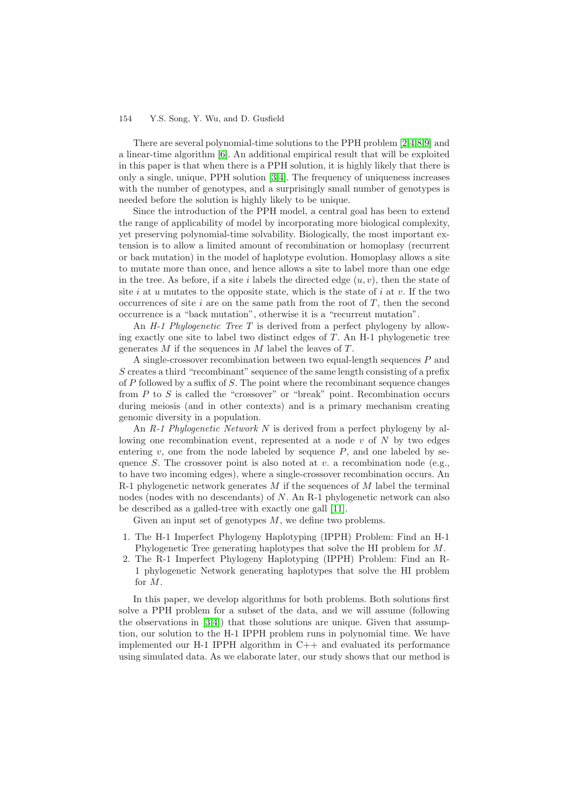There are several polynomial-time solutions to the PPH problem [\[2](#page-12-8)[,4](#page-12-9)[,8](#page-12-4)[,9\]](#page-12-1) and a linear-time algorithm [\[6\]](#page-12-10). An additional empirical result that will be exploited in this paper is that when there is a PPH solution, it is highly likely that there is only a single, unique, PPH solution [\[3,](#page-12-11)[4\]](#page-12-9). The frequency of uniqueness increases with the number of genotypes, and a surprisingly small number of genotypes is needed before the solution is highly likely to be unique.

Since the introduction of the PPH model, a central goal has been to extend the range of applicability of model by incorporating more biological complexity, yet preserving polynomial-time solvability. Biologically, the most important extension is to allow a limited amount of recombination or homoplasy (recurrent or back mutation) in the model of haplotype evolution. Homoplasy allows a site to mutate more than once, and hence allows a site to label more than one edge in the tree. As before, if a site i labels the directed edge  $(u, v)$ , then the state of site i at u mutates to the opposite state, which is the state of i at v. If the two occurrences of site  $i$  are on the same path from the root of  $T$ , then the second occurrence is a "back mutation", otherwise it is a "recurrent mutation".

An H-1 Phylogenetic Tree T is derived from a perfect phylogeny by allowing exactly one site to label two distinct edges of  $T$ . An H-1 phylogenetic tree generates  $M$  if the sequences in  $M$  label the leaves of  $T$ .

A single-crossover recombination between two equal-length sequences P and S creates a third "recombinant" sequence of the same length consisting of a prefix of  $P$  followed by a suffix of  $S$ . The point where the recombinant sequence changes from P to S is called the "crossover" or "break" point. Recombination occurs during meiosis (and in other contexts) and is a primary mechanism creating genomic diversity in a population.

An  $R-1$  Phylogenetic Network N is derived from a perfect phylogeny by allowing one recombination event, represented at a node v of N by two edges entering  $v$ , one from the node labeled by sequence  $P$ , and one labeled by sequence S. The crossover point is also noted at v. a recombination node (e.g., to have two incoming edges), where a single-crossover recombination occurs. An R-1 phylogenetic network generates  $M$  if the sequences of  $M$  label the terminal nodes (nodes with no descendants) of N. An R-1 phylogenetic network can also be described as a galled-tree with exactly one gall [\[11\]](#page-12-12).

Given an input set of genotypes  $M$ , we define two problems.

- 1. The H-1 Imperfect Phylogeny Haplotyping (IPPH) Problem: Find an H-1 Phylogenetic Tree generating haplotypes that solve the HI problem for M.
- 2. The R-1 Imperfect Phylogeny Haplotyping (IPPH) Problem: Find an R-1 phylogenetic Network generating haplotypes that solve the HI problem for M.

In this paper, we develop algorithms for both problems. Both solutions first solve a PPH problem for a subset of the data, and we will assume (following the observations in [\[3,](#page-12-11)[4\]](#page-12-9)) that those solutions are unique. Given that assumption, our solution to the H-1 IPPH problem runs in polynomial time. We have implemented our  $H-1$  IPPH algorithm in  $C++$  and evaluated its performance using simulated data. As we elaborate later, our study shows that our method is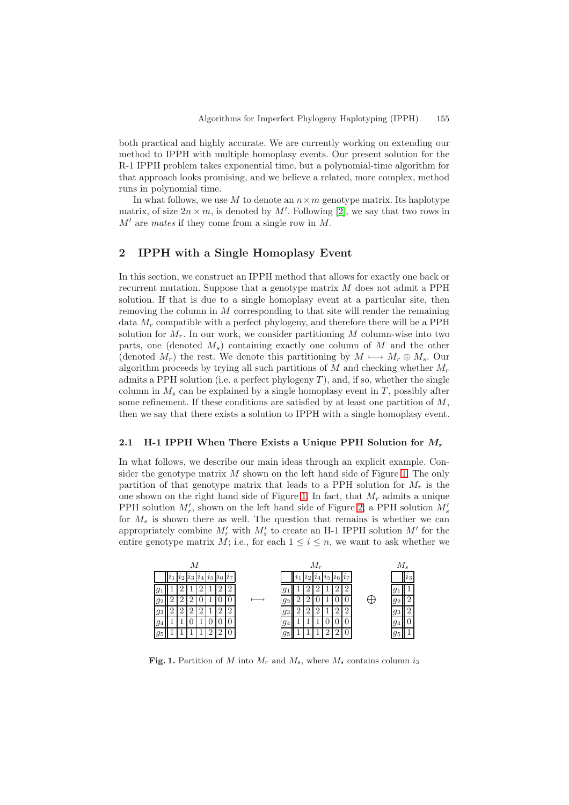both practical and highly accurate. We are currently working on extending our method to IPPH with multiple homoplasy events. Our present solution for the R-1 IPPH problem takes exponential time, but a polynomial-time algorithm for that approach looks promising, and we believe a related, more complex, method runs in polynomial time.

In what follows, we use M to denote an  $n \times m$  genotype matrix. Its haplotype matrix, of size  $2n \times m$ , is denoted by M'. Following [\[2\]](#page-12-8), we say that two rows in  $M'$  are mates if they come from a single row in  $M$ .

# **2 IPPH with a Single Homoplasy Event**

In this section, we construct an IPPH method that allows for exactly one back or recurrent mutation. Suppose that a genotype matrix M does not admit a PPH solution. If that is due to a single homoplasy event at a particular site, then removing the column in  $M$  corresponding to that site will render the remaining data  $M_r$  compatible with a perfect phylogeny, and therefore there will be a PPH solution for  $M_r$ . In our work, we consider partitioning M column-wise into two parts, one (denoted  $M_s$ ) containing exactly one column of M and the other (denoted  $M_r$ ) the rest. We denote this partitioning by  $M \longmapsto M_r \oplus M_s$ . Our algorithm proceeds by trying all such partitions of  $M$  and checking whether  $M_r$ admits a PPH solution (i.e. a perfect phylogeny  $T$ ), and, if so, whether the single column in  $M_s$  can be explained by a single homoplasy event in  $T$ , possibly after some refinement. If these conditions are satisfied by at least one partition of  $M$ , then we say that there exists a solution to IPPH with a single homoplasy event.

## <span id="page-3-1"></span>**2.1 H-1 IPPH When There Exists a Unique PPH Solution for** *M<sup>r</sup>*

In what follows, we describe our main ideas through an explicit example. Consider the genotype matrix  $M$  shown on the left hand side of Figure [1.](#page-3-0) The only partition of that genotype matrix that leads to a PPH solution for  $M_r$  is the one shown on the right hand side of Figure [1.](#page-3-0) In fact, that  $M_r$  admits a unique PPH solution  $M'_r$ , shown on the left hand side of Figure [2;](#page-4-0) a PPH solution  $M'_s$ for  $M_s$  is shown there as well. The question that remains is whether we can appropriately combine  $M'_r$  with  $M'_s$  to create an H-1 IPPH solution  $M'$  for the entire genotype matrix  $M$ ; i.e., for each  $1 \leq i \leq n$ , we want to ask whether we

|       |  |           |           |  |                                           | $M_r$ |  |     |   |                |           |           | $M_{s}$   |          |   |    |                |
|-------|--|-----------|-----------|--|-------------------------------------------|-------|--|-----|---|----------------|-----------|-----------|-----------|----------|---|----|----------------|
|       |  | $\iota_2$ | $\iota_3$ |  | $\frac{1}{4}$ $\frac{1}{5}$ $\frac{1}{6}$ | 27    |  |     | ı | 2 <sub>2</sub> | $\iota_4$ | $\iota_5$ | $\iota_6$ | 27       |   |    | i <sub>3</sub> |
| $g_1$ |  |           |           |  |                                           | 4     |  | 91  |   |                |           |           |           |          |   | У  |                |
| 92    |  |           |           |  |                                           |       |  | 92  |   |                |           |           |           |          | ₩ | 92 | $\Omega$       |
| $g_3$ |  |           | ٠         |  |                                           |       |  | 93  |   |                |           |           |           | $\Omega$ |   | 93 | $\mathcal{D}$  |
| 94    |  |           |           |  |                                           |       |  | .94 |   |                |           |           |           |          |   | 94 |                |
| 95    |  |           |           |  |                                           |       |  | 95  |   |                |           |           |           |          |   | 95 |                |

<span id="page-3-0"></span>**Fig. 1.** Partition of M into  $M_r$  and  $M_s$ , where  $M_s$  contains column i<sub>3</sub>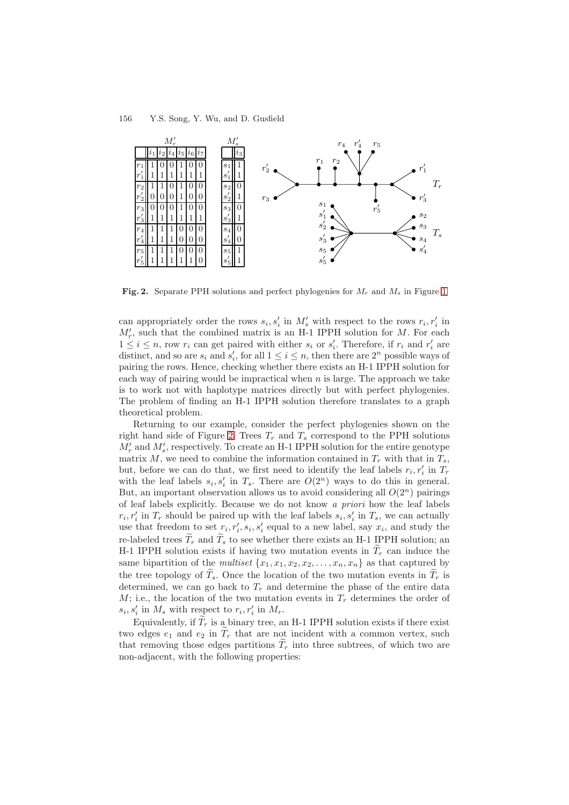

<span id="page-4-0"></span>**Fig. 2.** Separate PPH solutions and perfect phylogenies for  $M_r$  and  $M_s$  in Figure [1](#page-3-0)

can appropriately order the rows  $s_i, s'_i$  in  $M'_s$  with respect to the rows  $r_i, r'_i$  in  $M'_r$ , such that the combined matrix is an H-1 IPPH solution for M. For each  $1 \leq i \leq n$ , row  $r_i$  can get paired with either  $s_i$  or  $s'_i$ . Therefore, if  $r_i$  and  $r'_i$  are distinct, and so are  $s_i$  and  $s'_i$ , for all  $1 \leq i \leq n$ , then there are  $2^n$  possible ways of pairing the rows. Hence, checking whether there exists an H-1 IPPH solution for each way of pairing would be impractical when  $n$  is large. The approach we take is to work not with haplotype matrices directly but with perfect phylogenies. The problem of finding an H-1 IPPH solution therefore translates to a graph theoretical problem.

Returning to our example, consider the perfect phylogenies shown on the right hand side of Figure [2.](#page-4-0) Trees  $T_r$  and  $T_s$  correspond to the PPH solutions  $M'_r$  and  $M'_s$ , respectively. To create an H-1 IPPH solution for the entire genotype matrix M, we need to combine the information contained in  $T_r$  with that in  $T_s$ , but, before we can do that, we first need to identify the leaf labels  $r_i, r'_i$  in  $T_r$ with the leaf labels  $s_i, s'_i$  in  $T_s$ . There are  $O(2^n)$  ways to do this in general. But, an important observation allows us to avoid considering all  $O(2^n)$  pairings of leaf labels explicitly. Because we do not know a priori how the leaf labels  $r_i, r'_i$  in  $T_r$  should be paired up with the leaf labels  $s_i, s'_i$  in  $T_s$ , we can actually use that freedom to set  $r_i, r'_i, s_i, s'_i$  equal to a new label, say  $x_i$ , and study the re-labeled trees  $T_r$  and  $T_s$  to see whether there exists an H-1 IPPH solution; and  $\tilde{T}_r$  are induced the H-1 IPPH solution exists if having two mutation events in  $T_r$  can induce the same bipartition of the multiset  $\{x_1, x_1, x_2, x_2, \ldots, x_n, x_n\}$  as that captured by the tree topology of  $T_s$ . Once the location of the two mutation events in  $T_r$  is determined, we can go back to  $T_r$  and determine the phase of the entire data  $M$ ; i.e., the location of the two mutation events in  $T_r$  determines the order of  $s_i, s'_i$  in  $M_s$  with respect to  $r_i, r'_i$  in  $M_r$ .

Equivalently, if  $T_r$  is a binary tree, an H-1 IPPH solution exists if there exist<br>reduces a such a in  $\tilde{T}$  that are not incident with a secure metric such two edges  $e_1$  and  $e_2$  in  $T_r$  that are not incident with a common vertex, such that are not that are not that the such that the such that the such that the such that the such that the such that the such that the such that removing those edges partitions  $T_r$  into three subtrees, of which two are non-adjacent, with the following properties: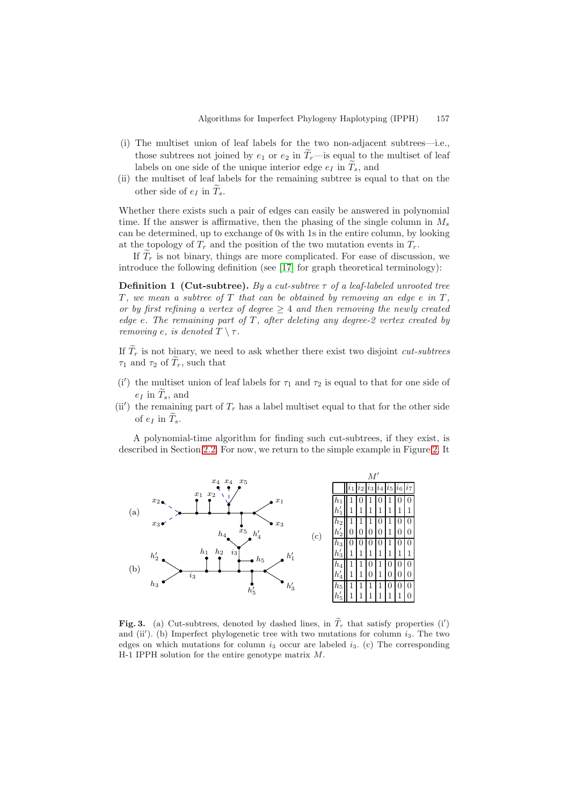- (i) The multiset union of leaf labels for the two non-adjacent subtrees—i.e., those subtrees not joined by  $e_1$  or  $e_2$  in  $T_r$ —is equal to the multiset of leaf labels on one side of the unique interior edge  $e_I$  in  $T_s$ , and the unit interest of labels for the university problem is a small
- (ii) the multiset of leaf labels for the remaining subtree is equal to that on the other side of  $e_I$  in  $T_s$ .

Whether there exists such a pair of edges can easily be answered in polynomial time. If the answer is affirmative, then the phasing of the single column in  $M_s$ can be determined, up to exchange of 0s with 1s in the entire column, by looking at the topology of  $T_r$  and the position of the two mutation events in  $T_r$ .

If  $T_r$  is not binary, things are more complicated. For ease of discussion, we introduce the following definition (see [\[17\]](#page-12-13) for graph theoretical terminology):

**Definition 1 (Cut-subtree).** By a cut-subtree  $\tau$  of a leaf-labeled unrooted tree T, we mean a subtree of  $T$  that can be obtained by removing an edge  $e$  in  $T$ , or by first refining a vertex of degree  $> 4$  and then removing the newly created edge e. The remaining part of  $T$ , after deleting any degree-2 vertex created by removing e, is denoted  $T \setminus \tau$ .

If  $T_r$  is not binary, we need to ask whether there exist two disjoint *cut-subtrees*  $\tau_1$  and  $\tau_2$  of  $T_r$ , such that

- (i') the multiset union of leaf labels for  $\tau_1$  and  $\tau_2$  is equal to that for one side of  $e_I$  in  $T_s$ , and
- (ii') the remaining part of  $T_r$  has a label multiset equal to that for the other side of  $e_I$  in  $T_s$ .

A polynomial-time algorithm for finding such cut-subtrees, if they exist, is described in Section [2.2.](#page-6-0) For now, we return to the simple example in Figure [2.](#page-4-0) It



<span id="page-5-0"></span>**Fig. 3.** (a) Cut-subtrees, denoted by dashed lines, in  $\widetilde{T}_r$  that satisfy properties (i') and (ii'). (b) Imperfect phylogenetic tree with two mutations for column  $i_3$ . The two edges on which mutations for column  $i_3$  occur are labeled  $i_3$ . (c) The corresponding H-1 IPPH solution for the entire genotype matrix M.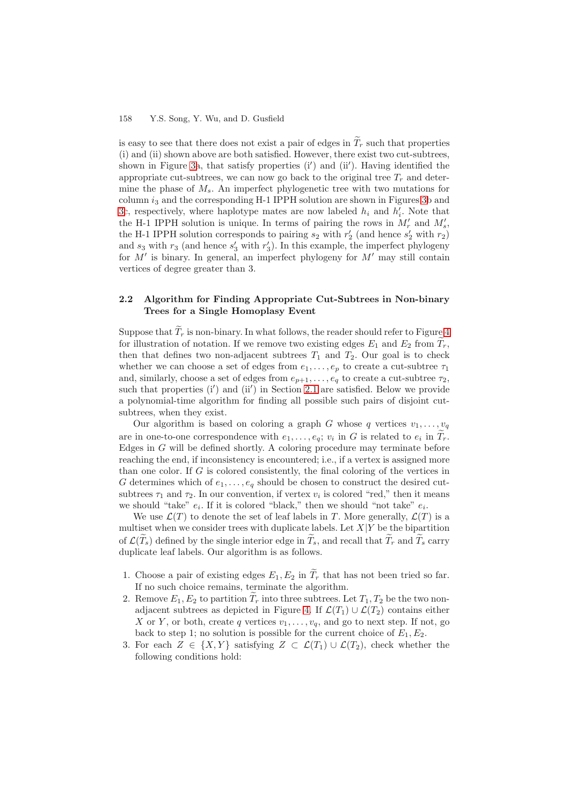is easy to see that there does not exist a pair of edges in  $T_r$  such that properties  $\langle \cdot \rangle$  and  $\langle \cdot \rangle$  above also such that  $\langle \cdot \rangle$  and  $\langle \cdot \rangle$  above also that  $\langle \cdot \rangle$  and  $\langle \cdot \rangle$  above also that  $\langle \cdot \rangle$ (i) and (ii) shown above are both satisfied. However, there exist two cut-subtrees, shown in Figure [3a](#page-5-0), that satisfy properties  $(i')$  and  $(ii')$ . Having identified the appropriate cut-subtrees, we can now go back to the original tree  $T_r$  and determine the phase of  $M_s$ . An imperfect phylogenetic tree with two mutations for column  $i_3$  and the corresponding H-1 IPPH solution are shown in Figures [3b](#page-5-0) and [3c](#page-5-0), respectively, where haplotype mates are now labeled  $h_i$  and  $h'_i$ . Note that the H-1 IPPH solution is unique. In terms of pairing the rows in  $M'_r$  and  $M'_s$ , the H-1 IPPH solution corresponds to pairing  $s_2$  with  $r'_2$  (and hence  $s'_2$  with  $r_2$ ) and  $s_3$  with  $r_3$  (and hence  $s'_3$  with  $r'_3$ ). In this example, the imperfect phylogeny for  $M'$  is binary. In general, an imperfect phylogeny for  $M'$  may still contain vertices of degree greater than 3.

## <span id="page-6-0"></span>**2.2 Algorithm for Finding Appropriate Cut-Subtrees in Non-binary Trees for a Single Homoplasy Event**

Suppose that  $T_r$  is non-binary. In what follows, the reader should refer to Figure [4](#page-7-0)<br>for illustration of notation. If we necessary two existing advances  $F_r$  and  $F_r$  from  $\widetilde{T}$ for illustration of notation. If we remove two existing edges  $E_1$  and  $E_2$  from  $T_r$ , then that defines two non-adjacent subtrees  $T_1$  and  $T_2$ . Our goal is to check whether we can choose a set of edges from  $e_1, \ldots, e_p$  to create a cut-subtree  $\tau_1$ and, similarly, choose a set of edges from  $e_{p+1}, \ldots, e_q$  to create a cut-subtree  $\tau_2$ , such that properties  $(i')$  and  $(ii')$  in Section [2.1](#page-3-1) are satisfied. Below we provide a polynomial-time algorithm for finding all possible such pairs of disjoint cutsubtrees, when they exist.

Our algorithm is based on coloring a graph G whose q vertices  $v_1, \ldots, v_q$ are in one-to-one correspondence with  $e_1, \ldots, e_q$ ;  $v_i$  in G is related to  $e_i$  in  $T_r$ . Edges in G will be defined shortly. A coloring procedure may terminate before reaching the end, if inconsistency is encountered; i.e., if a vertex is assigned more than one color. If  $G$  is colored consistently, the final coloring of the vertices in G determines which of  $e_1, \ldots, e_q$  should be chosen to construct the desired cutsubtrees  $\tau_1$  and  $\tau_2$ . In our convention, if vertex  $v_i$  is colored "red," then it means we should "take"  $e_i$ . If it is colored "black," then we should "not take"  $e_i$ .

We use  $\mathcal{L}(T)$  to denote the set of leaf labels in T. More generally,  $\mathcal{L}(T)$  is a multiset when we consider trees with duplicate labels. Let  $X|Y$  be the bipartition of  $\mathcal{L}(T_s)$  defined by the single interior edge in  $T_s$ , and recall that  $T_r$  and  $T_s$  carry<br>during leaf labels. Our algorithm is as follows duplicate leaf labels. Our algorithm is as follows.

- 1. Choose a pair of existing edges  $E_1, E_2$  in  $T_r$  that has not been tried so far. If no such choice remains, terminate the algorithm.
- 2. Remove  $E_1, E_2$  to partition  $T_r$  into three subtrees. Let  $T_1, T_2$  be the two non-<br>codingent subtrees as depicted in Figure 4, If  $\mathcal{L}(T_1) \cup \mathcal{L}(T_2)$  contains either adjacent subtrees as depicted in Figure [4.](#page-7-0) If  $\mathcal{L}(T_1) \cup \mathcal{L}(T_2)$  contains either X or Y, or both, create q vertices  $v_1, \ldots, v_q$ , and go to next step. If not, go back to step 1; no solution is possible for the current choice of  $E_1, E_2$ .
- 3. For each  $Z \in \{X, Y\}$  satisfying  $Z \subset \mathcal{L}(T_1) \cup \mathcal{L}(T_2)$ , check whether the following conditions hold: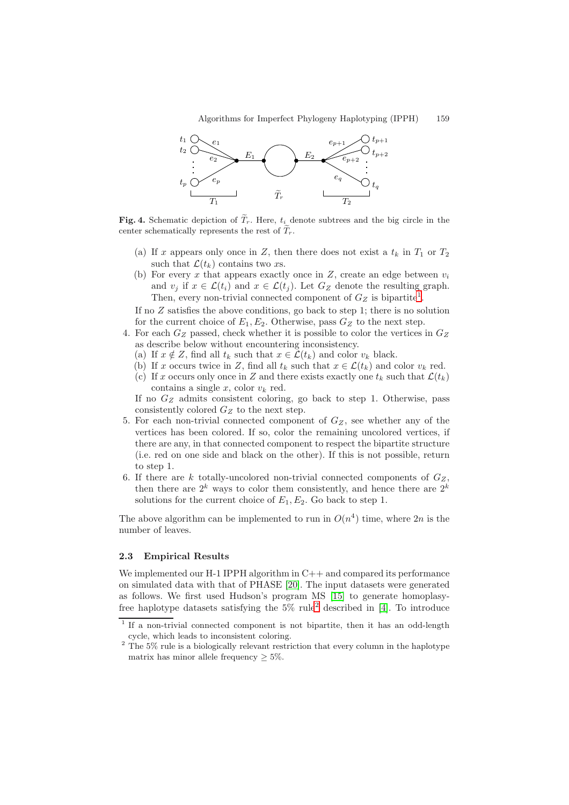

<span id="page-7-0"></span>**Fig. 4.** Schematic depiction of  $T_r$ . Here,  $t_i$  denote subtrees and the big circle in the center schematically represents the rest of  $T_r$ .

- (a) If x appears only once in Z, then there does not exist a  $t_k$  in  $T_1$  or  $T_2$ such that  $\mathcal{L}(t_k)$  contains two xs.
- (b) For every x that appears exactly once in  $Z$ , create an edge between  $v_i$ and  $v_i$  if  $x \in \mathcal{L}(t_i)$  and  $x \in \mathcal{L}(t_i)$ . Let  $G_Z$  denote the resulting graph. Then, every non-trivial connected component of  $G_Z$  is bipartite<sup>[1](#page-7-1)</sup>.

If no  $Z$  satisfies the above conditions, go back to step 1; there is no solution for the current choice of  $E_1, E_2$ . Otherwise, pass  $G_Z$  to the next step.

- 4. For each  $G_Z$  passed, check whether it is possible to color the vertices in  $G_Z$ as describe below without encountering inconsistency.
	- (a) If  $x \notin Z$ , find all  $t_k$  such that  $x \in \mathcal{L}(t_k)$  and color  $v_k$  black.
	- (b) If x occurs twice in Z, find all  $t_k$  such that  $x \in \mathcal{L}(t_k)$  and color  $v_k$  red.
	- (c) If x occurs only once in Z and there exists exactly one  $t_k$  such that  $\mathcal{L}(t_k)$ contains a single x, color  $v_k$  red.

If no  $G_Z$  admits consistent coloring, go back to step 1. Otherwise, pass consistently colored  $G_Z$  to the next step.

- 5. For each non-trivial connected component of  $G_Z$ , see whether any of the vertices has been colored. If so, color the remaining uncolored vertices, if there are any, in that connected component to respect the bipartite structure (i.e. red on one side and black on the other). If this is not possible, return to step 1.
- 6. If there are k totally-uncolored non-trivial connected components of  $G_Z$ , then there are  $2^k$  ways to color them consistently, and hence there are  $2^k$ solutions for the current choice of  $E_1, E_2$ . Go back to step 1.

The above algorithm can be implemented to run in  $O(n^4)$  time, where  $2n$  is the number of leaves.

## **2.3 Empirical Results**

We implemented our H-1 IPPH algorithm in  $C++$  and compared its performance on simulated data with that of PHASE [\[20\]](#page-12-14). The input datasets were generated as follows. We first used Hudson's program MS [\[15\]](#page-12-15) to generate homoplasyfree haplotype datasets satisfying the  $5\%$  rule<sup>[2](#page-7-2)</sup> described in [\[4\]](#page-12-9). To introduce

<span id="page-7-1"></span>If a non-trivial connected component is not bipartite, then it has an odd-length cycle, which leads to inconsistent coloring.

<span id="page-7-2"></span><sup>&</sup>lt;sup>2</sup> The 5% rule is a biologically relevant restriction that every column in the haplotype matrix has minor allele frequency  $\geq 5\%$ .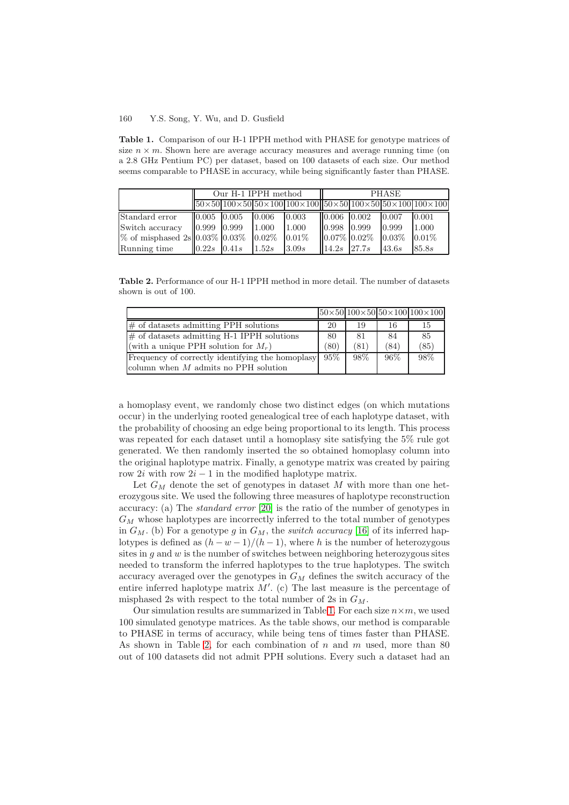<span id="page-8-0"></span>**Table 1.** Comparison of our H-1 IPPH method with PHASE for genotype matrices of size  $n \times m$ . Shown here are average accuracy measures and average running time (on a 2.8 GHz Pentium PC) per dataset, based on 100 datasets of each size. Our method seems comparable to PHASE in accuracy, while being significantly faster than PHASE.

|                                           |                     | Our H-1 IPPH method |                                                                                                       | <b>PHASE</b>    |       |          |       |  |  |
|-------------------------------------------|---------------------|---------------------|-------------------------------------------------------------------------------------------------------|-----------------|-------|----------|-------|--|--|
|                                           |                     |                     | $[50\times50]100\times50]50\times100]100\times100$ $[50\times50]100\times50]50\times100]100\times100$ |                 |       |          |       |  |  |
| Standard error                            | 0.005 0.005         | 0.006               | 0.003                                                                                                 | $0.006$ $0.002$ |       | 0.007    | 0.001 |  |  |
| Switch accuracy                           | 0.999 0.999         | 1.000               | 1.000                                                                                                 | 0.998 0.999     |       | 0.999    | 1.000 |  |  |
| $\%$ of misphased 2s 0.03\% 0.03\% 0.02\% |                     |                     | 0.01%                                                                                                 | $0.07\%$ 0.02%  |       | $0.03\%$ | 0.01% |  |  |
| Running time                              | $ 0.22s $ $ 0.41s $ | 1.52s               | 3.09s                                                                                                 | 14.2s           | 27.7s | 43.6s    | 85.8s |  |  |

<span id="page-8-1"></span>**Table 2.** Performance of our H-1 IPPH method in more detail. The number of datasets shown is out of 100.

|                                                  |      |      |      | $ 50\times50 100\times50 50\times100 100\times100 $ |
|--------------------------------------------------|------|------|------|-----------------------------------------------------|
| $\#$ of datasets admitting PPH solutions         | 20   | 19   | 16   | 15                                                  |
| $\#$ of datasets admitting H-1 IPPH solutions    | 80   | 81   | 84   | 85                                                  |
| (with a unique PPH solution for $M_r$ )          | (80) | (81) | (84) | (85)                                                |
| Frequency of correctly identifying the homoplasy | 95%  | 98\% | 96%  | 98%                                                 |
| column when $M$ admits no PPH solution           |      |      |      |                                                     |

a homoplasy event, we randomly chose two distinct edges (on which mutations occur) in the underlying rooted genealogical tree of each haplotype dataset, with the probability of choosing an edge being proportional to its length. This process was repeated for each dataset until a homoplasy site satisfying the 5% rule got generated. We then randomly inserted the so obtained homoplasy column into the original haplotype matrix. Finally, a genotype matrix was created by pairing row 2i with row  $2i - 1$  in the modified haplotype matrix.

Let  $G_M$  denote the set of genotypes in dataset M with more than one heterozygous site. We used the following three measures of haplotype reconstruction accuracy: (a) The standard error [\[20\]](#page-12-14) is the ratio of the number of genotypes in  $G_M$  whose haplotypes are incorrectly inferred to the total number of genotypes in  $G_M$ . (b) For a genotype g in  $G_M$ , the switch accuracy [\[16\]](#page-12-16) of its inferred haplotypes is defined as  $(h - w - 1)/(h - 1)$ , where h is the number of heterozygous sites in  $g$  and  $w$  is the number of switches between neighboring heterozygous sites needed to transform the inferred haplotypes to the true haplotypes. The switch accuracy averaged over the genotypes in  $G_M$  defines the switch accuracy of the entire inferred haplotype matrix  $M'$ . (c) The last measure is the percentage of misphased 2s with respect to the total number of 2s in  $G_M$ .

Our simulation results are summarized in Table [1.](#page-8-0) For each size  $n \times m$ , we used 100 simulated genotype matrices. As the table shows, our method is comparable to PHASE in terms of accuracy, while being tens of times faster than PHASE. As shown in Table [2,](#page-8-1) for each combination of  $n$  and  $m$  used, more than 80 out of 100 datasets did not admit PPH solutions. Every such a dataset had an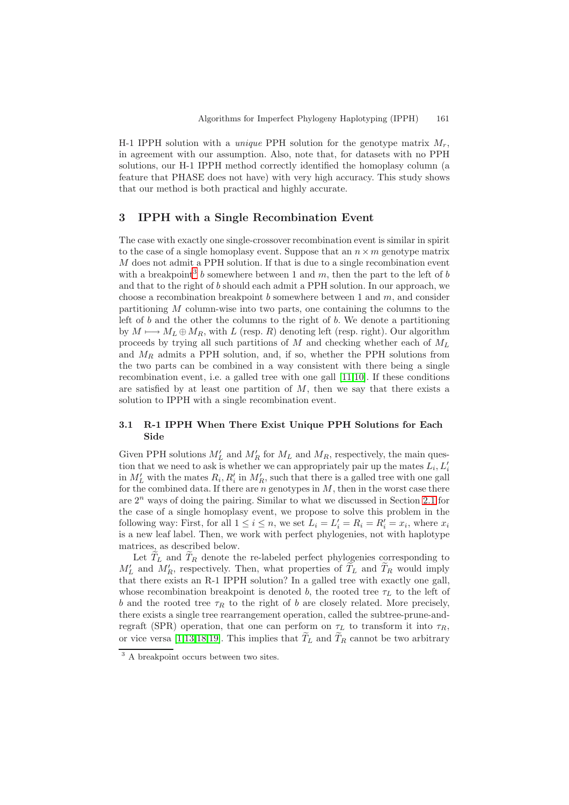H-1 IPPH solution with a *unique* PPH solution for the genotype matrix  $M_r$ , in agreement with our assumption. Also, note that, for datasets with no PPH solutions, our H-1 IPPH method correctly identified the homoplasy column (a feature that PHASE does not have) with very high accuracy. This study shows that our method is both practical and highly accurate.

# **3 IPPH with a Single Recombination Event**

The case with exactly one single-crossover recombination event is similar in spirit to the case of a single homoplasy event. Suppose that an  $n \times m$  genotype matrix M does not admit a PPH solution. If that is due to a single recombination event with a breakpoint<sup>[3](#page-9-0)</sup> b somewhere between 1 and m, then the part to the left of b and that to the right of b should each admit a PPH solution. In our approach, we choose a recombination breakpoint  $b$  somewhere between 1 and  $m$ , and consider partitioning  $M$  column-wise into two parts, one containing the columns to the left of  $b$  and the other the columns to the right of  $b$ . We denote a partitioning by  $M \mapsto M_L \oplus M_R$ , with L (resp. R) denoting left (resp. right). Our algorithm proceeds by trying all such partitions of M and checking whether each of  $M_L$ and  $M_R$  admits a PPH solution, and, if so, whether the PPH solutions from the two parts can be combined in a way consistent with there being a single recombination event, i.e. a galled tree with one gall [\[11](#page-12-12)[,10\]](#page-12-17). If these conditions are satisfied by at least one partition of  $M$ , then we say that there exists a solution to IPPH with a single recombination event.

# **3.1 R-1 IPPH When There Exist Unique PPH Solutions for Each Side**

Given PPH solutions  $M'_L$  and  $M'_R$  for  $M_L$  and  $M_R$ , respectively, the main question that we need to ask is whether we can appropriately pair up the mates  $L_i, L'_i$ in  $M'_{L}$  with the mates  $R_i, R'_i$  in  $M'_{R}$ , such that there is a galled tree with one gall for the combined data. If there are  $n$  genotypes in  $M$ , then in the worst case there are  $2^n$  ways of doing the pairing. Similar to what we discussed in Section [2.1](#page-3-1) for the case of a single homoplasy event, we propose to solve this problem in the following way: First, for all  $1 \leq i \leq n$ , we set  $L_i = L'_i = R_i = R'_i = x_i$ , where  $x_i$ is a new leaf label. Then, we work with perfect phylogenies, not with haplotype matrices, as described below.

Let  $T_L$  and  $T_R$  denote the re-labeled perfect phylogenies corresponding to and  $M'$  respectively. Then what preparties of  $\tilde{T}$  and  $\tilde{T}$  would imply  $M'_L$  and  $M'_R$ , respectively. Then, what properties of  $T_L$  and  $T_R$  would imply that there exists an R-1 IPPH solution? In a galled tree with exactly one gall, whose recombination breakpoint is denoted b, the rooted tree  $\tau_L$  to the left of b and the rooted tree  $\tau_R$  to the right of b are closely related. More precisely, there exists a single tree rearrangement operation, called the subtree-prune-andregraft (SPR) operation, that one can perform on  $\tau_L$  to transform it into  $\tau_R$ , or vice versa [\[1](#page-12-18)[,13,](#page-12-19)[18](#page-12-20)[,19\]](#page-12-21). This implies that  $T_L$  and  $T_R$  cannot be two arbitrary

<span id="page-9-0"></span> $\overline{3\ A}$  breakpoint occurs between two sites.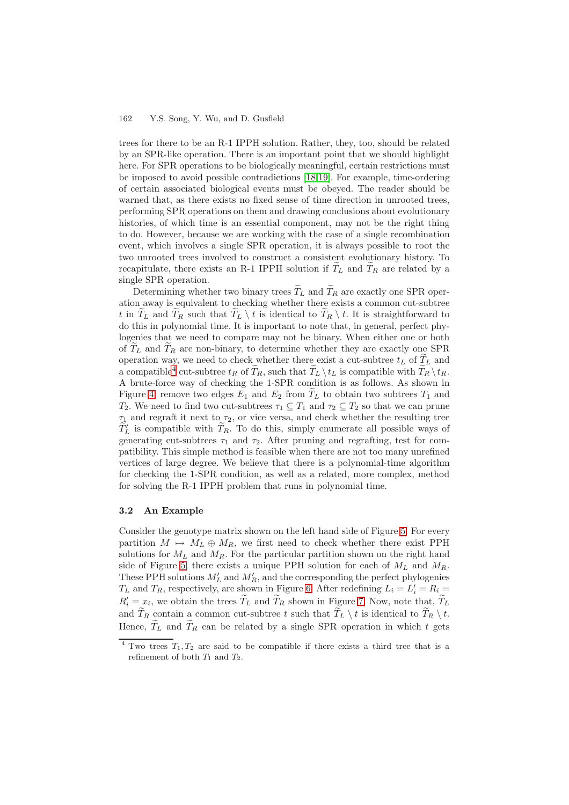trees for there to be an R-1 IPPH solution. Rather, they, too, should be related by an SPR-like operation. There is an important point that we should highlight here. For SPR operations to be biologically meaningful, certain restrictions must be imposed to avoid possible contradictions [\[18](#page-12-20)[,19\]](#page-12-21). For example, time-ordering of certain associated biological events must be obeyed. The reader should be warned that, as there exists no fixed sense of time direction in unrooted trees, performing SPR operations on them and drawing conclusions about evolutionary histories, of which time is an essential component, may not be the right thing to do. However, because we are working with the case of a single recombination event, which involves a single SPR operation, it is always possible to root the two unrooted trees involved to construct a consistent evolutionary history. To recapitulate, there exists an R-1 IPPH solution if  $T_L$  and  $T_R$  are related by a single SDB exerction. single SPR operation.

Determining whether two binary trees  $T_L$  and  $T_R$  are exactly one SPR oper-<br>no summer is senimely to shocking whether there exists a serminar subtrace ation away is equivalent to checking whether there exists a common cut-subtree t in  $T_L$  and  $T_R$  such that  $T_L \setminus t$  is identical to  $T_R \setminus t$ . It is straightforward to the thin polynomial time. It is important to note that in general perfect plus do this in polynomial time. It is important to note that, in general, perfect phylogenies that we need to compare may not be binary. When either one or both of  $T_L$  and  $T_R$  are non-binary, to determine whether they are exactly one SPR operation way, we need to check whether there exist a cut-subtree  $t_L$  of  $T_L$  and<br>compatible of white the  $\widetilde{T}$  - with that  $\widetilde{T}$  ) to is compatible with  $\widetilde{T}$  ) to a compatible<sup>[4](#page-10-0)</sup> cut-subtree  $t_R$  of  $\tilde{T}_R$ , such that  $\tilde{T}_L \setminus t_L$  is compatible with  $\tilde{T}_R \setminus t_R$ . A brute-force way of checking the 1-SPR condition is as follows. As shown in Figure [4,](#page-7-0) remove two edges  $E_1$  and  $E_2$  from  $T_L$  to obtain two subtrees  $T_1$  and  $T_-$  We need to find two subtrees  $\pi$ ,  $\subseteq T$  and  $\pi \subseteq T$  as that we see number  $T_2$ . We need to find two cut-subtrees  $\tau_1 \subseteq T_1$  and  $\tau_2 \subseteq T_2$  so that we can prune  $\tau_1$  and regraft it next to  $\tau_2$ , or vice versa, and check whether the resulting tree  $T'_L$  is compatible with  $T_R$ . To do this, simply enumerate all possible ways of generating cut-subtrees  $\tau_1$  and  $\tau_2$ . After pruning and regrafting, test for compatibility. This simple method is feasible when there are not too many unrefined vertices of large degree. We believe that there is a polynomial-time algorithm for checking the 1-SPR condition, as well as a related, more complex, method for solving the R-1 IPPH problem that runs in polynomial time.

## **3.2 An Example**

Consider the genotype matrix shown on the left hand side of Figure [5.](#page-11-0) For every partition  $M \mapsto M_L \oplus M_R$ , we first need to check whether there exist PPH solutions for  $M_L$  and  $M_R$ . For the particular partition shown on the right hand side of Figure [5,](#page-11-0) there exists a unique PPH solution for each of  $M_L$  and  $M_R$ . These PPH solutions  $M'_L$  and  $M'_R$ , and the corresponding the perfect phylogenies  $T_L$  and  $T_R$ , respectively, are shown in Figure [6.](#page-11-1) After redefining  $L_i = L'_i = R_i =$  $R'_i = x_i$ , we obtain the trees  $T_L$  and  $T_R$  shown in Figure [7.](#page-11-2) Now, note that,  $T_L$ and  $T_R$  contain a common cut-subtree t such that  $T_L \setminus t$  is identical to  $T_R \setminus t$ . Hence,  $T_L$  and  $T_R$  can be related by a single SPR operation in which t gets

<span id="page-10-0"></span><sup>&</sup>lt;sup>4</sup> Two trees  $T_1, T_2$  are said to be compatible if there exists a third tree that is a refinement of both  $T_1$  and  $T_2$ .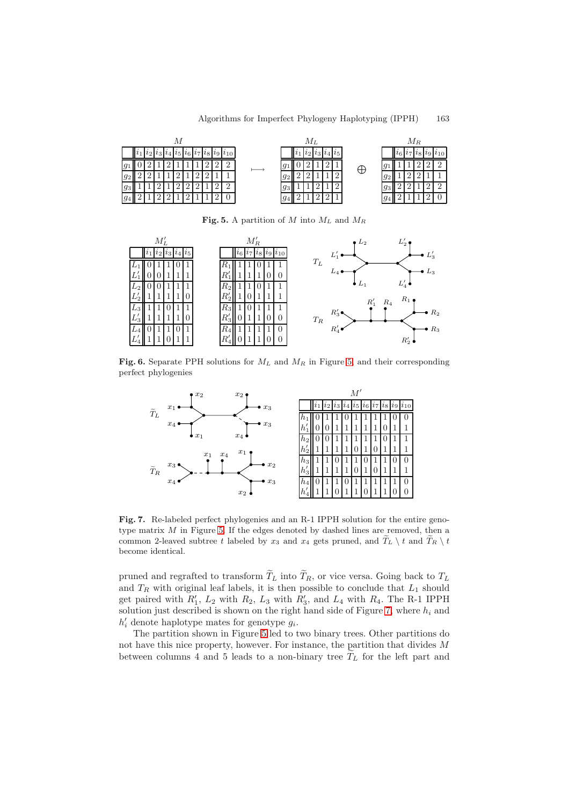

<span id="page-11-0"></span>**Fig. 5.** A partition of  $M$  into  $M_L$  and  $M_R$ 



<span id="page-11-1"></span>Fig. 6. Separate PPH solutions for  $M_L$  and  $M_R$  in Figure [5,](#page-11-0) and their corresponding perfect phylogenies



<span id="page-11-2"></span>**Fig. 7.** Re-labeled perfect phylogenies and an R-1 IPPH solution for the entire genotype matrix M in Figure [5.](#page-11-0) If the edges denoted by dashed lines are removed, then a common 2-leaved subtree t labeled by  $x_3$  and  $x_4$  gets pruned, and  $T_L \setminus t$  and  $T_R \setminus t$ become identical.

pruned and regrafted to transform  $T_L$  into  $T_R$ , or vice versa. Going back to  $T_L$ <br>and  $T_{\text{c}}$  with original log labels it is then negatible to conclude that L, should and  $T_R$  with original leaf labels, it is then possible to conclude that  $L_1$  should get paired with  $R'_1$ ,  $L_2$  with  $R_2$ ,  $L_3$  with  $R'_3$ , and  $L_4$  with  $R_4$ . The R-1 IPPH solution just described is shown on the right hand side of Figure [7,](#page-11-2) where  $h_i$  and  $h'_i$  denote haplotype mates for genotype  $g_i$ .

The partition shown in Figure [5](#page-11-0) led to two binary trees. Other partitions do not have this nice property, however. For instance, the partition that divides M between columns 4 and 5 leads to a non-binary tree  $T_L$  for the left part and